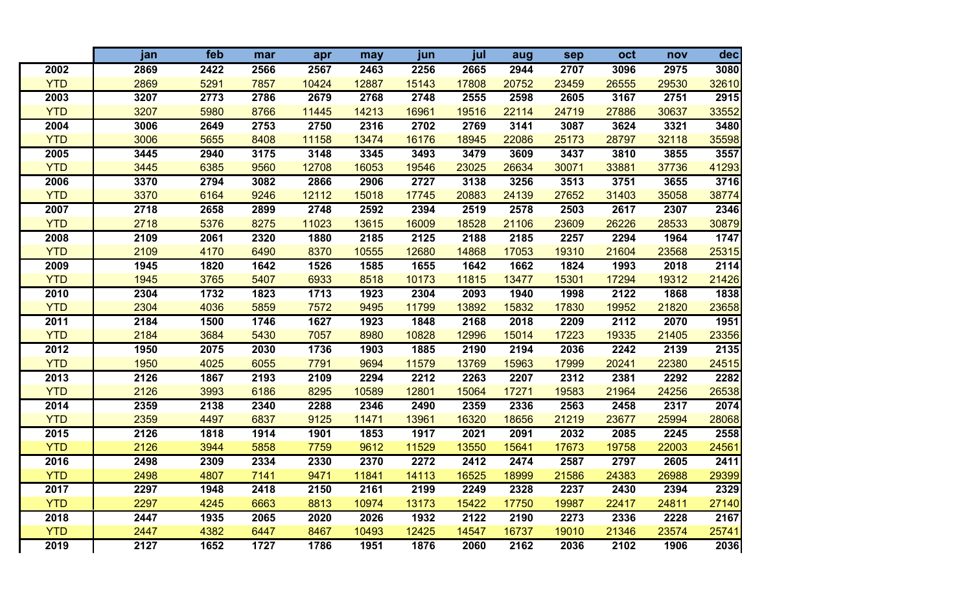|            | jan  | feb  | mar  | apr   | may   | jun              | jul   | aug   | sep   | oct   | nov   | dec   |
|------------|------|------|------|-------|-------|------------------|-------|-------|-------|-------|-------|-------|
| 2002       | 2869 | 2422 | 2566 | 2567  | 2463  | 2256             | 2665  | 2944  | 2707  | 3096  | 2975  | 3080  |
| <b>YTD</b> | 2869 | 5291 | 7857 | 10424 | 12887 | 15143            | 17808 | 20752 | 23459 | 26555 | 29530 | 32610 |
| 2003       | 3207 | 2773 | 2786 | 2679  | 2768  | 2748             | 2555  | 2598  | 2605  | 3167  | 2751  | 2915  |
| <b>YTD</b> | 3207 | 5980 | 8766 | 11445 | 14213 | 16961            | 19516 | 22114 | 24719 | 27886 | 30637 | 33552 |
| 2004       | 3006 | 2649 | 2753 | 2750  | 2316  | $\frac{1}{2702}$ | 2769  | 3141  | 3087  | 3624  | 3321  | 3480  |
| <b>YTD</b> | 3006 | 5655 | 8408 | 11158 | 13474 | 16176            | 18945 | 22086 | 25173 | 28797 | 32118 | 35598 |
| 2005       | 3445 | 2940 | 3175 | 3148  | 3345  | 3493             | 3479  | 3609  | 3437  | 3810  | 3855  | 3557  |
| <b>YTD</b> | 3445 | 6385 | 9560 | 12708 | 16053 | 19546            | 23025 | 26634 | 30071 | 33881 | 37736 | 41293 |
| 2006       | 3370 | 2794 | 3082 | 2866  | 2906  | 2727             | 3138  | 3256  | 3513  | 3751  | 3655  | 3716  |
| <b>YTD</b> | 3370 | 6164 | 9246 | 12112 | 15018 | 17745            | 20883 | 24139 | 27652 | 31403 | 35058 | 38774 |
| 2007       | 2718 | 2658 | 2899 | 2748  | 2592  | 2394             | 2519  | 2578  | 2503  | 2617  | 2307  | 2346  |
| <b>YTD</b> | 2718 | 5376 | 8275 | 11023 | 13615 | 16009            | 18528 | 21106 | 23609 | 26226 | 28533 | 30879 |
| 2008       | 2109 | 2061 | 2320 | 1880  | 2185  | 2125             | 2188  | 2185  | 2257  | 2294  | 1964  | 1747  |
| <b>YTD</b> | 2109 | 4170 | 6490 | 8370  | 10555 | 12680            | 14868 | 17053 | 19310 | 21604 | 23568 | 25315 |
| 2009       | 1945 | 1820 | 1642 | 1526  | 1585  | 1655             | 1642  | 1662  | 1824  | 1993  | 2018  | 2114  |
| <b>YTD</b> | 1945 | 3765 | 5407 | 6933  | 8518  | 10173            | 11815 | 13477 | 15301 | 17294 | 19312 | 21426 |
| 2010       | 2304 | 1732 | 1823 | 1713  | 1923  | 2304             | 2093  | 1940  | 1998  | 2122  | 1868  | 1838  |
| <b>YTD</b> | 2304 | 4036 | 5859 | 7572  | 9495  | 11799            | 13892 | 15832 | 17830 | 19952 | 21820 | 23658 |
| 2011       | 2184 | 1500 | 1746 | 1627  | 1923  | 1848             | 2168  | 2018  | 2209  | 2112  | 2070  | 1951  |
| <b>YTD</b> | 2184 | 3684 | 5430 | 7057  | 8980  | 10828            | 12996 | 15014 | 17223 | 19335 | 21405 | 23356 |
| 2012       | 1950 | 2075 | 2030 | 1736  | 1903  | 1885             | 2190  | 2194  | 2036  | 2242  | 2139  | 2135  |
| <b>YTD</b> | 1950 | 4025 | 6055 | 7791  | 9694  | 11579            | 13769 | 15963 | 17999 | 20241 | 22380 | 24515 |
| 2013       | 2126 | 1867 | 2193 | 2109  | 2294  | 2212             | 2263  | 2207  | 2312  | 2381  | 2292  | 2282  |
| <b>YTD</b> | 2126 | 3993 | 6186 | 8295  | 10589 | 12801            | 15064 | 17271 | 19583 | 21964 | 24256 | 26538 |
| 2014       | 2359 | 2138 | 2340 | 2288  | 2346  | 2490             | 2359  | 2336  | 2563  | 2458  | 2317  | 2074  |
| <b>YTD</b> | 2359 | 4497 | 6837 | 9125  | 11471 | 13961            | 16320 | 18656 | 21219 | 23677 | 25994 | 28068 |
| 2015       | 2126 | 1818 | 1914 | 1901  | 1853  | 1917             | 2021  | 2091  | 2032  | 2085  | 2245  | 2558  |
| <b>YTD</b> | 2126 | 3944 | 5858 | 7759  | 9612  | 11529            | 13550 | 15641 | 17673 | 19758 | 22003 | 24561 |
| 2016       | 2498 | 2309 | 2334 | 2330  | 2370  | 2272             | 2412  | 2474  | 2587  | 2797  | 2605  | 2411  |
| <b>YTD</b> | 2498 | 4807 | 7141 | 9471  | 11841 | 14113            | 16525 | 18999 | 21586 | 24383 | 26988 | 29399 |
| 2017       | 2297 | 1948 | 2418 | 2150  | 2161  | 2199             | 2249  | 2328  | 2237  | 2430  | 2394  | 2329  |
| <b>YTD</b> | 2297 | 4245 | 6663 | 8813  | 10974 | 13173            | 15422 | 17750 | 19987 | 22417 | 24811 | 27140 |
| 2018       | 2447 | 1935 | 2065 | 2020  | 2026  | 1932             | 2122  | 2190  | 2273  | 2336  | 2228  | 2167  |
| <b>YTD</b> | 2447 | 4382 | 6447 | 8467  | 10493 | 12425            | 14547 | 16737 | 19010 | 21346 | 23574 | 25741 |
| 2019       | 2127 | 1652 | 1727 | 1786  | 1951  | 1876             | 2060  | 2162  | 2036  | 2102  | 1906  | 2036  |